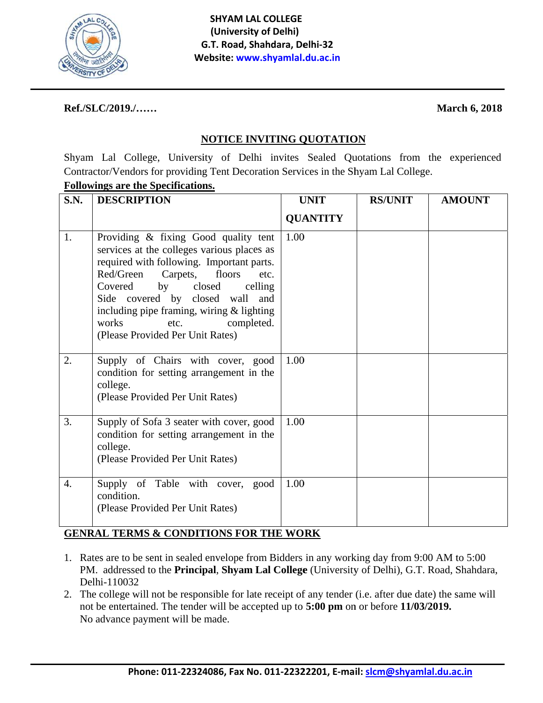

### Ref./SLC/2019./......

### **March 6, 2018**

## **NOTICE INVITING QUOTATION**

Shyam Lal College, University of Delhi invites Sealed Quotations from the experienced Contractor/Vendors for providing Tent Decoration Services in the Shyam Lal College.

# **Followings are the Specifications.**

| <b>S.N.</b>      | <b>DESCRIPTION</b>                                                                                                                                                                                                                                                                                                                                                     | <b>UNIT</b>     | <b>RS/UNIT</b> | <b>AMOUNT</b> |
|------------------|------------------------------------------------------------------------------------------------------------------------------------------------------------------------------------------------------------------------------------------------------------------------------------------------------------------------------------------------------------------------|-----------------|----------------|---------------|
|                  |                                                                                                                                                                                                                                                                                                                                                                        | <b>QUANTITY</b> |                |               |
| 1.               | Providing & fixing Good quality tent<br>services at the colleges various places as<br>required with following. Important parts.<br>Red/Green<br>Carpets,<br>floors<br>etc.<br>Covered<br>by<br>closed<br>celling<br>Side covered by closed wall<br>and<br>including pipe framing, wiring & lighting<br>completed.<br>works<br>etc.<br>(Please Provided Per Unit Rates) | 1.00            |                |               |
| 2.               | Supply of Chairs with cover, good<br>condition for setting arrangement in the<br>college.<br>(Please Provided Per Unit Rates)                                                                                                                                                                                                                                          | 1.00            |                |               |
| 3.               | Supply of Sofa 3 seater with cover, good<br>condition for setting arrangement in the<br>college.<br>(Please Provided Per Unit Rates)                                                                                                                                                                                                                                   | 1.00            |                |               |
| $\overline{4}$ . | Supply of Table with cover, good<br>condition.<br>(Please Provided Per Unit Rates)                                                                                                                                                                                                                                                                                     | 1.00            |                |               |

## **GENRAL TERMS & CONDITIONS FOR THE WORK**

- 1. Rates are to be sent in sealed envelope from Bidders in any working day from 9:00 AM to 5:00 PM. addressed to the Principal, Shyam Lal College (University of Delhi), G.T. Road, Shahdara, Delhi-110032
- 2. The college will not be responsible for late receipt of any tender (i.e. after due date) the same will not be entertained. The tender will be accepted up to 5:00 pm on or before 11/03/2019. No advance payment will be made.